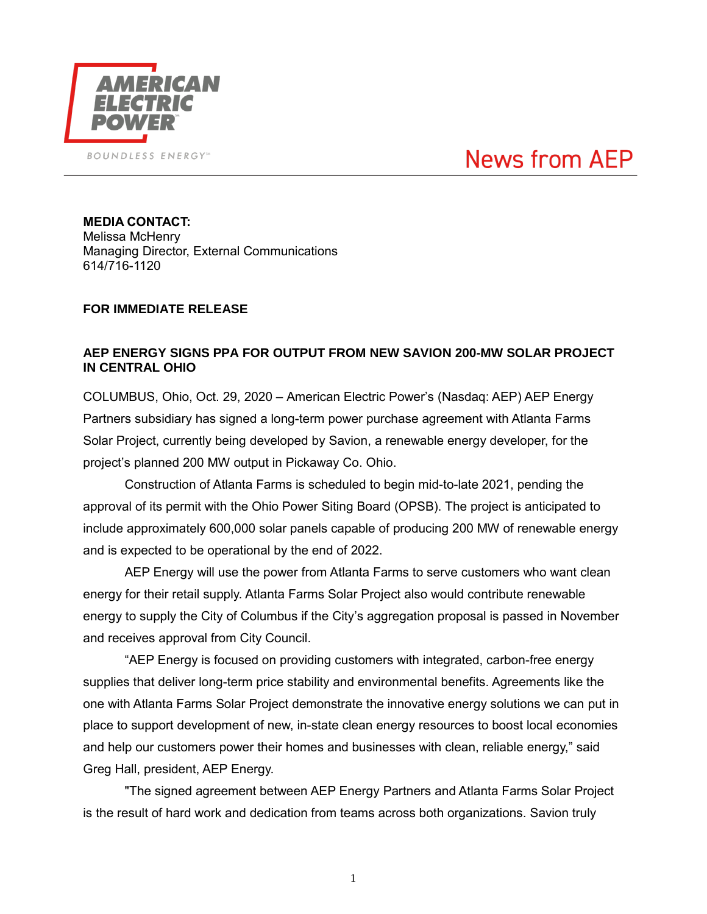

## **News from AEP**

**MEDIA CONTACT:** Melissa McHenry Managing Director, External Communications 614/716-1120

## **FOR IMMEDIATE RELEASE**

## **AEP ENERGY SIGNS PPA FOR OUTPUT FROM NEW SAVION 200-MW SOLAR PROJECT IN CENTRAL OHIO**

COLUMBUS, Ohio, Oct. 29, 2020 – American Electric Power's (Nasdaq: AEP) AEP Energy Partners subsidiary has signed a long-term power purchase agreement with Atlanta Farms Solar Project, currently being developed by Savion, a renewable energy developer, for the project's planned 200 MW output in Pickaway Co. Ohio.

Construction of Atlanta Farms is scheduled to begin mid-to-late 2021, pending the approval of its permit with the Ohio Power Siting Board (OPSB). The project is anticipated to include approximately 600,000 solar panels capable of producing 200 MW of renewable energy and is expected to be operational by the end of 2022.

AEP Energy will use the power from Atlanta Farms to serve customers who want clean energy for their retail supply. Atlanta Farms Solar Project also would contribute renewable energy to supply the City of Columbus if the City's aggregation proposal is passed in November and receives approval from City Council.

"AEP Energy is focused on providing customers with integrated, carbon-free energy supplies that deliver long-term price stability and environmental benefits. Agreements like the one with Atlanta Farms Solar Project demonstrate the innovative energy solutions we can put in place to support development of new, in-state clean energy resources to boost local economies and help our customers power their homes and businesses with clean, reliable energy," said Greg Hall, president, AEP Energy.

"The signed agreement between AEP Energy Partners and Atlanta Farms Solar Project is the result of hard work and dedication from teams across both organizations. Savion truly